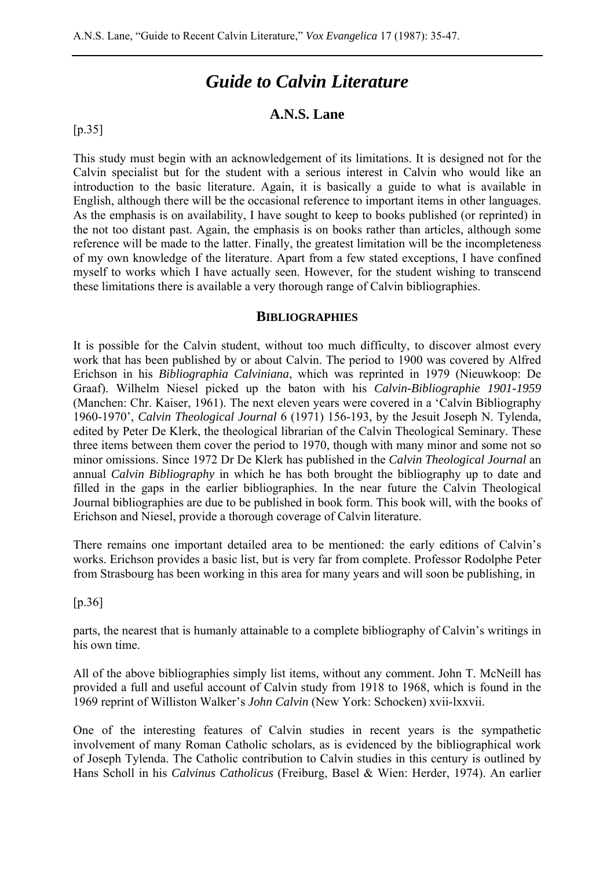# *Guide to Calvin Literature*

# **A.N.S. Lane**

### $[p.35]$

This study must begin with an acknowledgement of its limitations. It is designed not for the Calvin specialist but for the student with a serious interest in Calvin who would like an introduction to the basic literature. Again, it is basically a guide to what is available in English, although there will be the occasional reference to important items in other languages. As the emphasis is on availability, I have sought to keep to books published (or reprinted) in the not too distant past. Again, the emphasis is on books rather than articles, although some reference will be made to the latter. Finally, the greatest limitation will be the incompleteness of my own knowledge of the literature. Apart from a few stated exceptions, I have confined myself to works which I have actually seen. However, for the student wishing to transcend these limitations there is available a very thorough range of Calvin bibliographies.

#### **BIBLIOGRAPHIES**

It is possible for the Calvin student, without too much difficulty, to discover almost every work that has been published by or about Calvin. The period to 1900 was covered by Alfred Erichson in his *Bibliographia Calviniana*, which was reprinted in 1979 (Nieuwkoop: De Graaf). Wilhelm Niesel picked up the baton with his *Calvin-Bibliographie 1901-1959* (Manchen: Chr. Kaiser, 1961). The next eleven years were covered in a 'Calvin Bibliography 1960-1970', *Calvin Theological Journal* 6 (1971) 156-193, by the Jesuit Joseph N. Tylenda, edited by Peter De Klerk, the theological librarian of the Calvin Theological Seminary. These three items between them cover the period to 1970, though with many minor and some not so minor omissions. Since 1972 Dr De Klerk has published in the *Calvin Theological Journal* an annual *Calvin Bibliography* in which he has both brought the bibliography up to date and filled in the gaps in the earlier bibliographies. In the near future the Calvin Theological Journal bibliographies are due to be published in book form. This book will, with the books of Erichson and Niesel, provide a thorough coverage of Calvin literature.

There remains one important detailed area to be mentioned: the early editions of Calvin's works. Erichson provides a basic list, but is very far from complete. Professor Rodolphe Peter from Strasbourg has been working in this area for many years and will soon be publishing, in

[p.36]

parts, the nearest that is humanly attainable to a complete bibliography of Calvin's writings in his own time.

All of the above bibliographies simply list items, without any comment. John T. McNeill has provided a full and useful account of Calvin study from 1918 to 1968, which is found in the 1969 reprint of Williston Walker's *John Calvin* (New York: Schocken) xvii-lxxvii.

One of the interesting features of Calvin studies in recent years is the sympathetic involvement of many Roman Catholic scholars, as is evidenced by the bibliographical work of Joseph Tylenda. The Catholic contribution to Calvin studies in this century is outlined by Hans Scholl in his *Calvinus Catholicus* (Freiburg, Basel & Wien: Herder, 1974). An earlier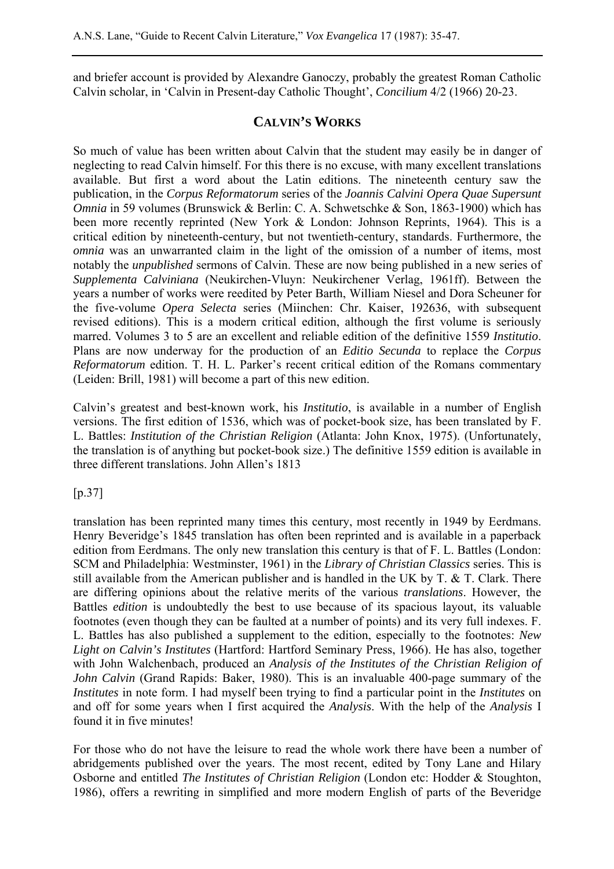and briefer account is provided by Alexandre Ganoczy, probably the greatest Roman Catholic Calvin scholar, in 'Calvin in Present-day Catholic Thought', *Concilium* 4/2 (1966) 20-23.

## **CALVIN'S WORKS**

So much of value has been written about Calvin that the student may easily be in danger of neglecting to read Calvin himself. For this there is no excuse, with many excellent translations available. But first a word about the Latin editions. The nineteenth century saw the publication, in the *Corpus Reformatorum* series of the *Joannis Calvini Opera Quae Supersunt Omnia* in 59 volumes (Brunswick & Berlin: C. A. Schwetschke & Son, 1863-1900) which has been more recently reprinted (New York & London: Johnson Reprints, 1964). This is a critical edition by nineteenth-century, but not twentieth-century, standards. Furthermore, the *omnia* was an unwarranted claim in the light of the omission of a number of items, most notably the *unpublished* sermons of Calvin. These are now being published in a new series of *Supplementa Calviniana* (Neukirchen-Vluyn: Neukirchener Verlag, 1961ff). Between the years a number of works were reedited by Peter Barth, William Niesel and Dora Scheuner for the five-volume *Opera Selecta* series (Miinchen: Chr. Kaiser, 192636, with subsequent revised editions). This is a modern critical edition, although the first volume is seriously marred. Volumes 3 to 5 are an excellent and reliable edition of the definitive 1559 *Institutio*. Plans are now underway for the production of an *Editio Secunda* to replace the *Corpus Reformatorum* edition. T. H. L. Parker's recent critical edition of the Romans commentary (Leiden: Brill, 1981) will become a part of this new edition.

Calvin's greatest and best-known work, his *Institutio*, is available in a number of English versions. The first edition of 1536, which was of pocket-book size, has been translated by F. L. Battles: *Institution of the Christian Religion* (Atlanta: John Knox, 1975). (Unfortunately, the translation is of anything but pocket-book size.) The definitive 1559 edition is available in three different translations. John Allen's 1813

[p.37]

translation has been reprinted many times this century, most recently in 1949 by Eerdmans. Henry Beveridge's 1845 translation has often been reprinted and is available in a paperback edition from Eerdmans. The only new translation this century is that of F. L. Battles (London: SCM and Philadelphia: Westminster, 1961) in the *Library of Christian Classics* series. This is still available from the American publisher and is handled in the UK by T. & T. Clark. There are differing opinions about the relative merits of the various *translations*. However, the Battles *edition* is undoubtedly the best to use because of its spacious layout, its valuable footnotes (even though they can be faulted at a number of points) and its very full indexes. F. L. Battles has also published a supplement to the edition, especially to the footnotes: *New Light on Calvin's Institutes* (Hartford: Hartford Seminary Press, 1966). He has also, together with John Walchenbach, produced an *Analysis of the Institutes of the Christian Religion of John Calvin* (Grand Rapids: Baker, 1980). This is an invaluable 400-page summary of the *Institutes* in note form. I had myself been trying to find a particular point in the *Institutes* on and off for some years when I first acquired the *Analysis*. With the help of the *Analysis* I found it in five minutes!

For those who do not have the leisure to read the whole work there have been a number of abridgements published over the years. The most recent, edited by Tony Lane and Hilary Osborne and entitled *The Institutes of Christian Religion* (London etc: Hodder & Stoughton, 1986), offers a rewriting in simplified and more modern English of parts of the Beveridge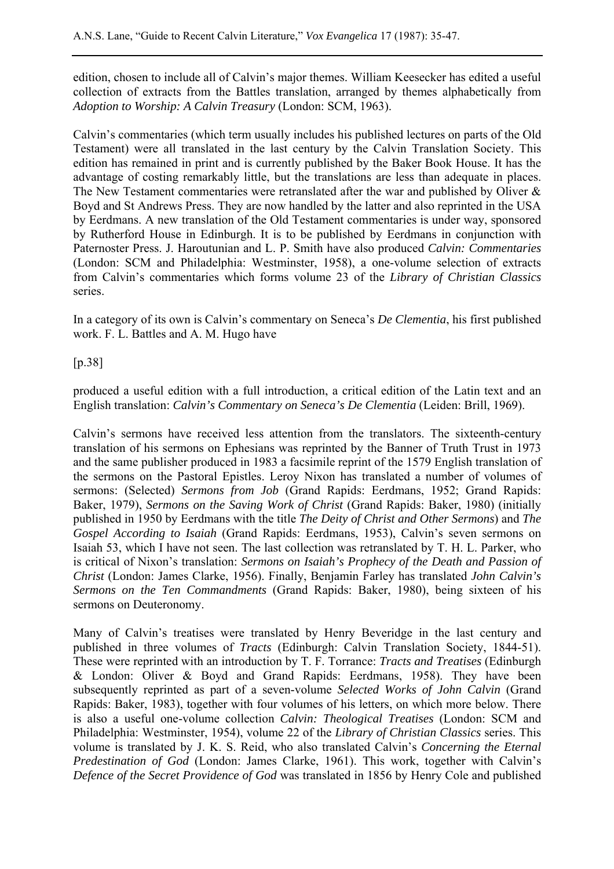edition, chosen to include all of Calvin's major themes. William Keesecker has edited a useful collection of extracts from the Battles translation, arranged by themes alphabetically from *Adoption to Worship: A Calvin Treasury* (London: SCM, 1963).

Calvin's commentaries (which term usually includes his published lectures on parts of the Old Testament) were all translated in the last century by the Calvin Translation Society. This edition has remained in print and is currently published by the Baker Book House. It has the advantage of costing remarkably little, but the translations are less than adequate in places. The New Testament commentaries were retranslated after the war and published by Oliver & Boyd and St Andrews Press. They are now handled by the latter and also reprinted in the USA by Eerdmans. A new translation of the Old Testament commentaries is under way, sponsored by Rutherford House in Edinburgh. It is to be published by Eerdmans in conjunction with Paternoster Press. J. Haroutunian and L. P. Smith have also produced *Calvin: Commentaries* (London: SCM and Philadelphia: Westminster, 1958), a one-volume selection of extracts from Calvin's commentaries which forms volume 23 of the *Library of Christian Classics* series.

In a category of its own is Calvin's commentary on Seneca's *De Clementia*, his first published work. F. L. Battles and A. M. Hugo have

[p.38]

produced a useful edition with a full introduction, a critical edition of the Latin text and an English translation: *Calvin's Commentary on Seneca's De Clementia* (Leiden: Brill, 1969).

Calvin's sermons have received less attention from the translators. The sixteenth-century translation of his sermons on Ephesians was reprinted by the Banner of Truth Trust in 1973 and the same publisher produced in 1983 a facsimile reprint of the 1579 English translation of the sermons on the Pastoral Epistles. Leroy Nixon has translated a number of volumes of sermons: (Selected) *Sermons from Job* (Grand Rapids: Eerdmans, 1952; Grand Rapids: Baker, 1979), *Sermons on the Saving Work of Christ* (Grand Rapids: Baker, 1980) (initially published in 1950 by Eerdmans with the title *The Deity of Christ and Other Sermons*) and *The Gospel According to Isaiah* (Grand Rapids: Eerdmans, 1953), Calvin's seven sermons on Isaiah 53, which I have not seen. The last collection was retranslated by T. H. L. Parker, who is critical of Nixon's translation: *Sermons on Isaiah's Prophecy of the Death and Passion of Christ* (London: James Clarke, 1956). Finally, Benjamin Farley has translated *John Calvin's Sermons on the Ten Commandments* (Grand Rapids: Baker, 1980), being sixteen of his sermons on Deuteronomy.

Many of Calvin's treatises were translated by Henry Beveridge in the last century and published in three volumes of *Tracts* (Edinburgh: Calvin Translation Society, 1844-51). These were reprinted with an introduction by T. F. Torrance: *Tracts and Treatises* (Edinburgh & London: Oliver & Boyd and Grand Rapids: Eerdmans, 1958). They have been subsequently reprinted as part of a seven-volume *Selected Works of John Calvin* (Grand Rapids: Baker, 1983), together with four volumes of his letters, on which more below. There is also a useful one-volume collection *Calvin: Theological Treatises* (London: SCM and Philadelphia: Westminster, 1954), volume 22 of the *Library of Christian Classics* series. This volume is translated by J. K. S. Reid, who also translated Calvin's *Concerning the Eternal Predestination of God* (London: James Clarke, 1961). This work, together with Calvin's *Defence of the Secret Providence of God* was translated in 1856 by Henry Cole and published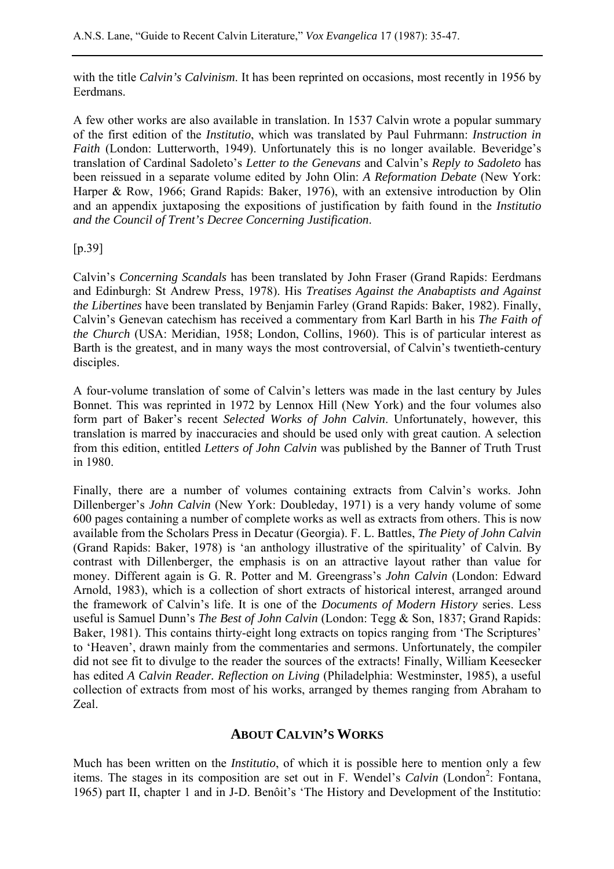with the title *Calvin's Calvinism*. It has been reprinted on occasions, most recently in 1956 by Eerdmans.

A few other works are also available in translation. In 1537 Calvin wrote a popular summary of the first edition of the *Institutio*, which was translated by Paul Fuhrmann: *Instruction in Faith* (London: Lutterworth, 1949). Unfortunately this is no longer available. Beveridge's translation of Cardinal Sadoleto's *Letter to the Genevans* and Calvin's *Reply to Sadoleto* has been reissued in a separate volume edited by John Olin: *A Reformation Debate* (New York: Harper & Row, 1966; Grand Rapids: Baker, 1976), with an extensive introduction by Olin and an appendix juxtaposing the expositions of justification by faith found in the *Institutio and the Council of Trent's Decree Concerning Justification*.

[p.39]

Calvin's *Concerning Scandals* has been translated by John Fraser (Grand Rapids: Eerdmans and Edinburgh: St Andrew Press, 1978). His *Treatises Against the Anabaptists and Against the Libertines* have been translated by Benjamin Farley (Grand Rapids: Baker, 1982). Finally, Calvin's Genevan catechism has received a commentary from Karl Barth in his *The Faith of the Church* (USA: Meridian, 1958; London, Collins, 1960). This is of particular interest as Barth is the greatest, and in many ways the most controversial, of Calvin's twentieth-century disciples.

A four-volume translation of some of Calvin's letters was made in the last century by Jules Bonnet. This was reprinted in 1972 by Lennox Hill (New York) and the four volumes also form part of Baker's recent *Selected Works of John Calvin*. Unfortunately, however, this translation is marred by inaccuracies and should be used only with great caution. A selection from this edition, entitled *Letters of John Calvin* was published by the Banner of Truth Trust in 1980.

Finally, there are a number of volumes containing extracts from Calvin's works. John Dillenberger's *John Calvin* (New York: Doubleday, 1971) is a very handy volume of some 600 pages containing a number of complete works as well as extracts from others. This is now available from the Scholars Press in Decatur (Georgia). F. L. Battles, *The Piety of John Calvin* (Grand Rapids: Baker, 1978) is 'an anthology illustrative of the spirituality' of Calvin. By contrast with Dillenberger, the emphasis is on an attractive layout rather than value for money. Different again is G. R. Potter and M. Greengrass's *John Calvin* (London: Edward Arnold, 1983), which is a collection of short extracts of historical interest, arranged around the framework of Calvin's life. It is one of the *Documents of Modern History* series. Less useful is Samuel Dunn's *The Best of John Calvin* (London: Tegg & Son, 1837; Grand Rapids: Baker, 1981). This contains thirty-eight long extracts on topics ranging from 'The Scriptures' to 'Heaven', drawn mainly from the commentaries and sermons. Unfortunately, the compiler did not see fit to divulge to the reader the sources of the extracts! Finally, William Keesecker has edited *A Calvin Reader. Reflection on Living* (Philadelphia: Westminster, 1985), a useful collection of extracts from most of his works, arranged by themes ranging from Abraham to Zeal.

# **ABOUT CALVIN'S WORKS**

Much has been written on the *Institutio*, of which it is possible here to mention only a few items. The stages in its composition are set out in F. Wendel's *Calvin* (London<sup>2</sup>: Fontana, 1965) part II, chapter 1 and in J-D. Benôit's 'The History and Development of the Institutio: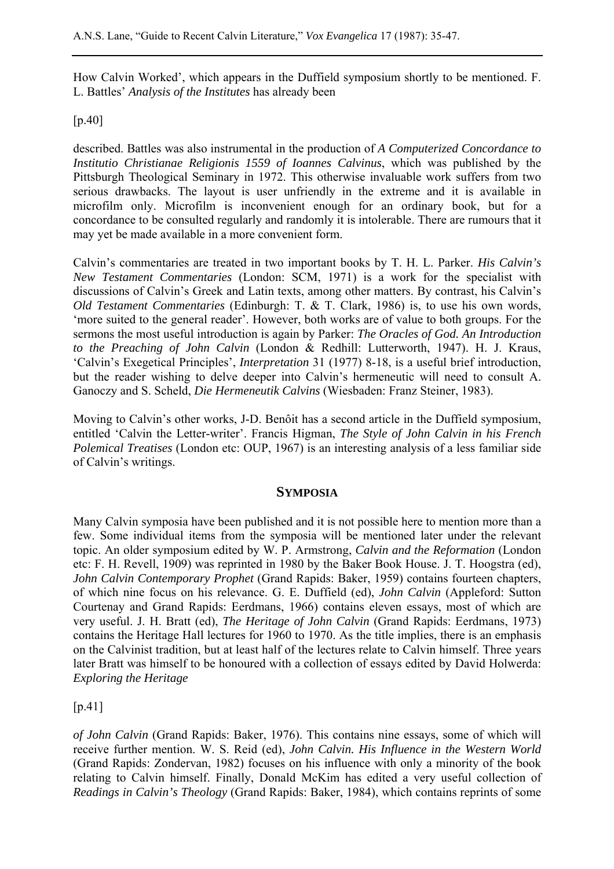How Calvin Worked', which appears in the Duffield symposium shortly to be mentioned. F. L. Battles' *Analysis of the Institutes* has already been

## [p.40]

described. Battles was also instrumental in the production of *A Computerized Concordance to Institutio Christianae Religionis 1559 of Ioannes Calvinus*, which was published by the Pittsburgh Theological Seminary in 1972. This otherwise invaluable work suffers from two serious drawbacks. The layout is user unfriendly in the extreme and it is available in microfilm only. Microfilm is inconvenient enough for an ordinary book, but for a concordance to be consulted regularly and randomly it is intolerable. There are rumours that it may yet be made available in a more convenient form.

Calvin's commentaries are treated in two important books by T. H. L. Parker. *His Calvin's New Testament Commentaries* (London: SCM, 1971) is a work for the specialist with discussions of Calvin's Greek and Latin texts, among other matters. By contrast, his Calvin's *Old Testament Commentaries* (Edinburgh: T. & T. Clark, 1986) is, to use his own words, 'more suited to the general reader'. However, both works are of value to both groups. For the sermons the most useful introduction is again by Parker: *The Oracles of God. An Introduction to the Preaching of John Calvin* (London & Redhill: Lutterworth, 1947). H. J. Kraus, 'Calvin's Exegetical Principles', *Interpretation* 31 (1977) 8-18, is a useful brief introduction, but the reader wishing to delve deeper into Calvin's hermeneutic will need to consult A. Ganoczy and S. Scheld, *Die Hermeneutik Calvins* (Wiesbaden: Franz Steiner, 1983).

Moving to Calvin's other works, J-D. Benôit has a second article in the Duffield symposium, entitled 'Calvin the Letter-writer'. Francis Higman, *The Style of John Calvin in his French Polemical Treatises* (London etc: OUP, 1967) is an interesting analysis of a less familiar side of Calvin's writings.

## **SYMPOSIA**

Many Calvin symposia have been published and it is not possible here to mention more than a few. Some individual items from the symposia will be mentioned later under the relevant topic. An older symposium edited by W. P. Armstrong, *Calvin and the Reformation* (London etc: F. H. Revell, 1909) was reprinted in 1980 by the Baker Book House. J. T. Hoogstra (ed), *John Calvin Contemporary Prophet* (Grand Rapids: Baker, 1959) contains fourteen chapters, of which nine focus on his relevance. G. E. Duffield (ed), *John Calvin* (Appleford: Sutton Courtenay and Grand Rapids: Eerdmans, 1966) contains eleven essays, most of which are very useful. J. H. Bratt (ed), *The Heritage of John Calvin* (Grand Rapids: Eerdmans, 1973) contains the Heritage Hall lectures for 1960 to 1970. As the title implies, there is an emphasis on the Calvinist tradition, but at least half of the lectures relate to Calvin himself. Three years later Bratt was himself to be honoured with a collection of essays edited by David Holwerda: *Exploring the Heritage*

[p.41]

*of John Calvin* (Grand Rapids: Baker, 1976). This contains nine essays, some of which will receive further mention. W. S. Reid (ed), *John Calvin. His Influence in the Western World* (Grand Rapids: Zondervan, 1982) focuses on his influence with only a minority of the book relating to Calvin himself. Finally, Donald McKim has edited a very useful collection of *Readings in Calvin's Theology* (Grand Rapids: Baker, 1984), which contains reprints of some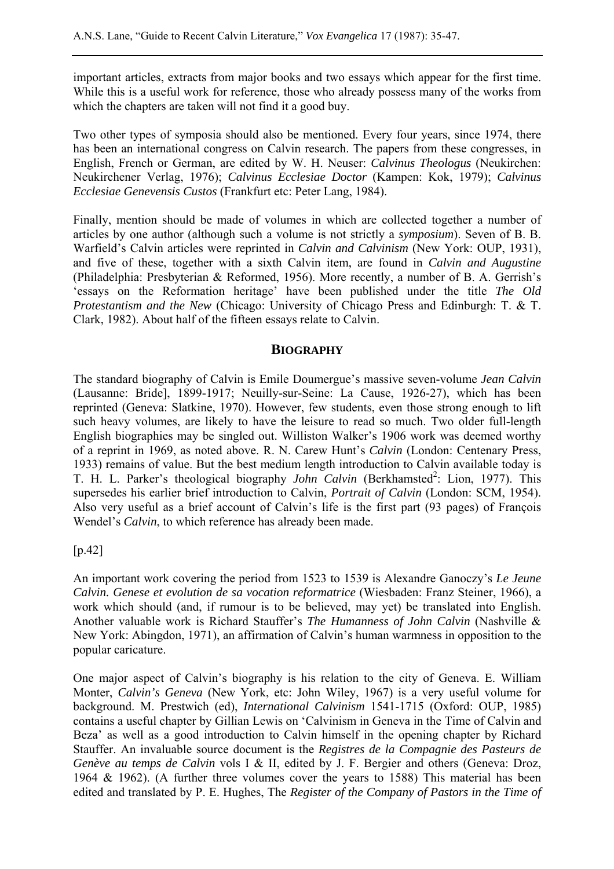important articles, extracts from major books and two essays which appear for the first time. While this is a useful work for reference, those who already possess many of the works from which the chapters are taken will not find it a good buy.

Two other types of symposia should also be mentioned. Every four years, since 1974, there has been an international congress on Calvin research. The papers from these congresses, in English, French or German, are edited by W. H. Neuser: *Calvinus Theologus* (Neukirchen: Neukirchener Verlag, 1976); *Calvinus Ecclesiae Doctor* (Kampen: Kok, 1979); *Calvinus Ecclesiae Genevensis Custos* (Frankfurt etc: Peter Lang, 1984).

Finally, mention should be made of volumes in which are collected together a number of articles by one author (although such a volume is not strictly a *symposium*). Seven of B. B. Warfield's Calvin articles were reprinted in *Calvin and Calvinism* (New York: OUP, 1931), and five of these, together with a sixth Calvin item, are found in *Calvin and Augustine* (Philadelphia: Presbyterian & Reformed, 1956). More recently, a number of B. A. Gerrish's 'essays on the Reformation heritage' have been published under the title *The Old Protestantism and the New* (Chicago: University of Chicago Press and Edinburgh: T. & T. Clark, 1982). About half of the fifteen essays relate to Calvin.

### **BIOGRAPHY**

The standard biography of Calvin is Emile Doumergue's massive seven-volume *Jean Calvin* (Lausanne: Bride], 1899-1917; Neuilly-sur-Seine: La Cause, 1926-27), which has been reprinted (Geneva: Slatkine, 1970). However, few students, even those strong enough to lift such heavy volumes, are likely to have the leisure to read so much. Two older full-length English biographies may be singled out. Williston Walker's 1906 work was deemed worthy of a reprint in 1969, as noted above. R. N. Carew Hunt's *Calvin* (London: Centenary Press, 1933) remains of value. But the best medium length introduction to Calvin available today is T. H. L. Parker's theological biography *John Calvin* (Berkhamsted<sup>2</sup>: Lion, 1977). This supersedes his earlier brief introduction to Calvin, *Portrait of Calvin* (London: SCM, 1954). Also very useful as a brief account of Calvin's life is the first part (93 pages) of François Wendel's *Calvin*, to which reference has already been made.

## [p.42]

An important work covering the period from 1523 to 1539 is Alexandre Ganoczy's *Le Jeune Calvin. Genese et evolution de sa vocation reformatrice* (Wiesbaden: Franz Steiner, 1966), a work which should (and, if rumour is to be believed, may yet) be translated into English. Another valuable work is Richard Stauffer's *The Humanness of John Calvin* (Nashville & New York: Abingdon, 1971), an affirmation of Calvin's human warmness in opposition to the popular caricature.

One major aspect of Calvin's biography is his relation to the city of Geneva. E. William Monter, *Calvin's Geneva* (New York, etc: John Wiley, 1967) is a very useful volume for background. M. Prestwich (ed), *International Calvinism* 1541-1715 (Oxford: OUP, 1985) contains a useful chapter by Gillian Lewis on 'Calvinism in Geneva in the Time of Calvin and Beza' as well as a good introduction to Calvin himself in the opening chapter by Richard Stauffer. An invaluable source document is the *Registres de la Compagnie des Pasteurs de Genève au temps de Calvin* vols I & II, edited by J. F. Bergier and others (Geneva: Droz, 1964 & 1962). (A further three volumes cover the years to 1588) This material has been edited and translated by P. E. Hughes, The *Register of the Company of Pastors in the Time of*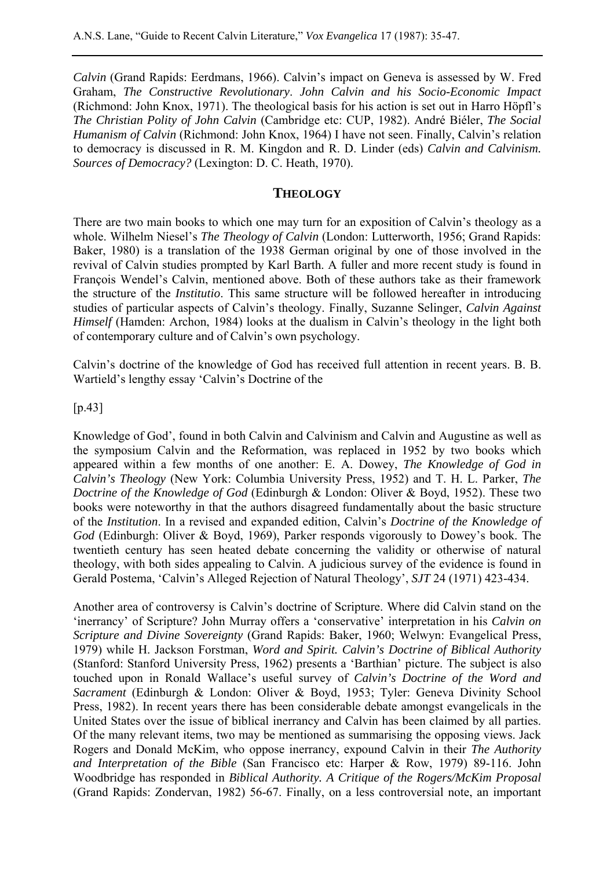*Calvin* (Grand Rapids: Eerdmans, 1966). Calvin's impact on Geneva is assessed by W. Fred Graham, *The Constructive Revolutionary*. *John Calvin and his Socio-Economic Impact* (Richmond: John Knox, 1971). The theological basis for his action is set out in Harro Höpfl's *The Christian Polity of John Calvin* (Cambridge etc: CUP, 1982). André Biéler, *The Social Humanism of Calvin* (Richmond: John Knox, 1964) I have not seen. Finally, Calvin's relation to democracy is discussed in R. M. Kingdon and R. D. Linder (eds) *Calvin and Calvinism. Sources of Democracy?* (Lexington: D. C. Heath, 1970).

# **THEOLOGY**

There are two main books to which one may turn for an exposition of Calvin's theology as a whole. Wilhelm Niesel's *The Theology of Calvin* (London: Lutterworth, 1956; Grand Rapids: Baker, 1980) is a translation of the 1938 German original by one of those involved in the revival of Calvin studies prompted by Karl Barth. A fuller and more recent study is found in François Wendel's Calvin, mentioned above. Both of these authors take as their framework the structure of the *Institutio*. This same structure will be followed hereafter in introducing studies of particular aspects of Calvin's theology. Finally, Suzanne Selinger, *Calvin Against Himself* (Hamden: Archon, 1984) looks at the dualism in Calvin's theology in the light both of contemporary culture and of Calvin's own psychology.

Calvin's doctrine of the knowledge of God has received full attention in recent years. B. B. Wartield's lengthy essay 'Calvin's Doctrine of the

#### [p.43]

Knowledge of God', found in both Calvin and Calvinism and Calvin and Augustine as well as the symposium Calvin and the Reformation, was replaced in 1952 by two books which appeared within a few months of one another: E. A. Dowey, *The Knowledge of God in Calvin's Theology* (New York: Columbia University Press, 1952) and T. H. L. Parker, *The Doctrine of the Knowledge of God* (Edinburgh & London: Oliver & Boyd, 1952). These two books were noteworthy in that the authors disagreed fundamentally about the basic structure of the *Institution*. In a revised and expanded edition, Calvin's *Doctrine of the Knowledge of God* (Edinburgh: Oliver & Boyd, 1969), Parker responds vigorously to Dowey's book. The twentieth century has seen heated debate concerning the validity or otherwise of natural theology, with both sides appealing to Calvin. A judicious survey of the evidence is found in Gerald Postema, 'Calvin's Alleged Rejection of Natural Theology', *SJT* 24 (1971) 423-434.

Another area of controversy is Calvin's doctrine of Scripture. Where did Calvin stand on the 'inerrancy' of Scripture? John Murray offers a 'conservative' interpretation in his *Calvin on Scripture and Divine Sovereignty* (Grand Rapids: Baker, 1960; Welwyn: Evangelical Press, 1979) while H. Jackson Forstman, *Word and Spirit. Calvin's Doctrine of Biblical Authority* (Stanford: Stanford University Press, 1962) presents a 'Barthian' picture. The subject is also touched upon in Ronald Wallace's useful survey of *Calvin's Doctrine of the Word and Sacrament* (Edinburgh & London: Oliver & Boyd, 1953; Tyler: Geneva Divinity School Press, 1982). In recent years there has been considerable debate amongst evangelicals in the United States over the issue of biblical inerrancy and Calvin has been claimed by all parties. Of the many relevant items, two may be mentioned as summarising the opposing views. Jack Rogers and Donald McKim, who oppose inerrancy, expound Calvin in their *The Authority and Interpretation of the Bible* (San Francisco etc: Harper & Row, 1979) 89-116. John Woodbridge has responded in *Biblical Authority. A Critique of the Rogers/McKim Proposal* (Grand Rapids: Zondervan, 1982) 56-67. Finally, on a less controversial note, an important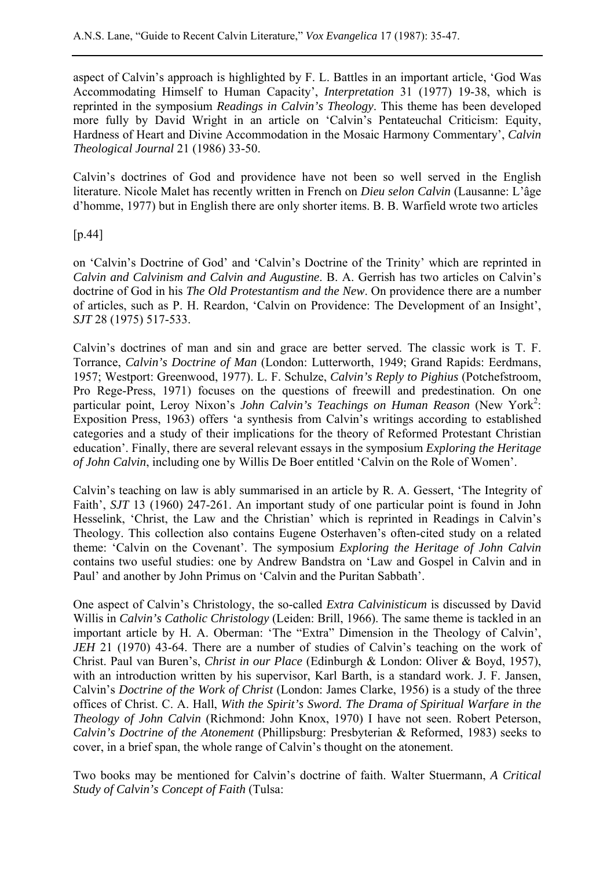aspect of Calvin's approach is highlighted by F. L. Battles in an important article, 'God Was Accommodating Himself to Human Capacity', *Interpretation* 31 (1977) 19-38, which is reprinted in the symposium *Readings in Calvin's Theology*. This theme has been developed more fully by David Wright in an article on 'Calvin's Pentateuchal Criticism: Equity, Hardness of Heart and Divine Accommodation in the Mosaic Harmony Commentary', *Calvin Theological Journal* 21 (1986) 33-50.

Calvin's doctrines of God and providence have not been so well served in the English literature. Nicole Malet has recently written in French on *Dieu selon Calvin* (Lausanne: L'âge d'homme, 1977) but in English there are only shorter items. B. B. Warfield wrote two articles

[p.44]

on 'Calvin's Doctrine of God' and 'Calvin's Doctrine of the Trinity' which are reprinted in *Calvin and Calvinism and Calvin and Augustine*. B. A. Gerrish has two articles on Calvin's doctrine of God in his *The Old Protestantism and the New*. On providence there are a number of articles, such as P. H. Reardon, 'Calvin on Providence: The Development of an Insight', *SJT* 28 (1975) 517-533.

Calvin's doctrines of man and sin and grace are better served. The classic work is T. F. Torrance, *Calvin's Doctrine of Man* (London: Lutterworth, 1949; Grand Rapids: Eerdmans, 1957; Westport: Greenwood, 1977). L. F. Schulze, *Calvin's Reply to Pighius* (Potchefstroom, Pro Rege-Press, 1971) focuses on the questions of freewill and predestination. On one particular point, Leroy Nixon's *John Calvin's Teachings on Human Reason* (New York<sup>2</sup>: Exposition Press, 1963) offers 'a synthesis from Calvin's writings according to established categories and a study of their implications for the theory of Reformed Protestant Christian education'. Finally, there are several relevant essays in the symposium *Exploring the Heritage of John Calvin*, including one by Willis De Boer entitled 'Calvin on the Role of Women'.

Calvin's teaching on law is ably summarised in an article by R. A. Gessert, 'The Integrity of Faith', *SJT* 13 (1960) 247-261. An important study of one particular point is found in John Hesselink, 'Christ, the Law and the Christian' which is reprinted in Readings in Calvin's Theology. This collection also contains Eugene Osterhaven's often-cited study on a related theme: 'Calvin on the Covenant'. The symposium *Exploring the Heritage of John Calvin* contains two useful studies: one by Andrew Bandstra on 'Law and Gospel in Calvin and in Paul' and another by John Primus on 'Calvin and the Puritan Sabbath'.

One aspect of Calvin's Christology, the so-called *Extra Calvinisticum* is discussed by David Willis in *Calvin's Catholic Christology* (Leiden: Brill, 1966). The same theme is tackled in an important article by H. A. Oberman: 'The "Extra" Dimension in the Theology of Calvin', *JEH* 21 (1970) 43-64. There are a number of studies of Calvin's teaching on the work of Christ. Paul van Buren's, *Christ in our Place* (Edinburgh & London: Oliver & Boyd, 1957), with an introduction written by his supervisor, Karl Barth, is a standard work. J. F. Jansen, Calvin's *Doctrine of the Work of Christ* (London: James Clarke, 1956) is a study of the three offices of Christ. C. A. Hall, *With the Spirit's Sword. The Drama of Spiritual Warfare in the Theology of John Calvin* (Richmond: John Knox, 1970) I have not seen. Robert Peterson, *Calvin's Doctrine of the Atonement* (Phillipsburg: Presbyterian & Reformed, 1983) seeks to cover, in a brief span, the whole range of Calvin's thought on the atonement.

Two books may be mentioned for Calvin's doctrine of faith. Walter Stuermann, *A Critical Study of Calvin's Concept of Faith* (Tulsa: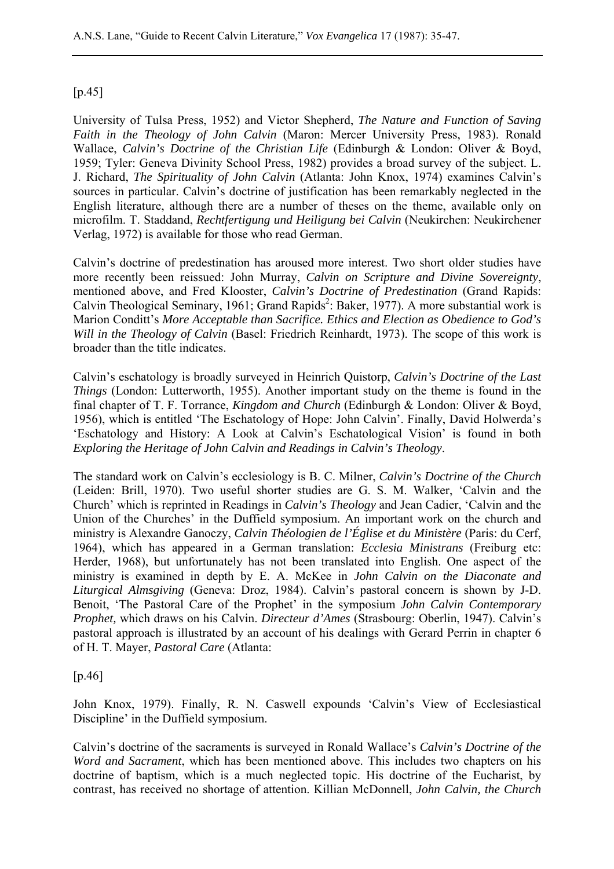# $[p.45]$

University of Tulsa Press, 1952) and Victor Shepherd, *The Nature and Function of Saving Faith in the Theology of John Calvin* (Maron: Mercer University Press, 1983). Ronald Wallace, *Calvin's Doctrine of the Christian Life* (Edinburgh & London: Oliver & Boyd, 1959; Tyler: Geneva Divinity School Press, 1982) provides a broad survey of the subject. L. J. Richard, *The Spirituality of John Calvin* (Atlanta: John Knox, 1974) examines Calvin's sources in particular. Calvin's doctrine of justification has been remarkably neglected in the English literature, although there are a number of theses on the theme, available only on microfilm. T. Staddand, *Rechtfertigung und Heiligung bei Calvin* (Neukirchen: Neukirchener Verlag, 1972) is available for those who read German.

Calvin's doctrine of predestination has aroused more interest. Two short older studies have more recently been reissued: John Murray, *Calvin on Scripture and Divine Sovereignty*, mentioned above, and Fred Klooster, *Calvin's Doctrine of Predestination* (Grand Rapids: Calvin Theological Seminary, 1961; Grand Rapids<sup>2</sup>: Baker, 1977). A more substantial work is Marion Conditt's *More Acceptable than Sacrifice. Ethics and Election as Obedience to God's Will in the Theology of Calvin* (Basel: Friedrich Reinhardt, 1973). The scope of this work is broader than the title indicates.

Calvin's eschatology is broadly surveyed in Heinrich Quistorp, *Calvin's Doctrine of the Last Things* (London: Lutterworth, 1955). Another important study on the theme is found in the final chapter of T. F. Torrance, *Kingdom and Church* (Edinburgh & London: Oliver & Boyd, 1956), which is entitled 'The Eschatology of Hope: John Calvin'. Finally, David Holwerda's 'Eschatology and History: A Look at Calvin's Eschatological Vision' is found in both *Exploring the Heritage of John Calvin and Readings in Calvin's Theology*.

The standard work on Calvin's ecclesiology is B. C. Milner, *Calvin's Doctrine of the Church* (Leiden: Brill, 1970). Two useful shorter studies are G. S. M. Walker, 'Calvin and the Church' which is reprinted in Readings in *Calvin's Theology* and Jean Cadier, 'Calvin and the Union of the Churches' in the Duffield symposium. An important work on the church and ministry is Alexandre Ganoczy, *Calvin Théologien de l'Église et du Ministère* (Paris: du Cerf, 1964), which has appeared in a German translation: *Ecclesia Ministrans* (Freiburg etc: Herder, 1968), but unfortunately has not been translated into English. One aspect of the ministry is examined in depth by E. A. McKee in *John Calvin on the Diaconate and Liturgical Almsgiving* (Geneva: Droz, 1984). Calvin's pastoral concern is shown by J-D. Benoit, 'The Pastoral Care of the Prophet' in the symposium *John Calvin Contemporary Prophet,* which draws on his Calvin. *Directeur d'Ames* (Strasbourg: Oberlin, 1947). Calvin's pastoral approach is illustrated by an account of his dealings with Gerard Perrin in chapter 6 of H. T. Mayer, *Pastoral Care* (Atlanta:

[p.46]

John Knox, 1979). Finally, R. N. Caswell expounds 'Calvin's View of Ecclesiastical Discipline' in the Duffield symposium.

Calvin's doctrine of the sacraments is surveyed in Ronald Wallace's *Calvin's Doctrine of the Word and Sacrament*, which has been mentioned above. This includes two chapters on his doctrine of baptism, which is a much neglected topic. His doctrine of the Eucharist, by contrast, has received no shortage of attention. Killian McDonnell, *John Calvin, the Church*